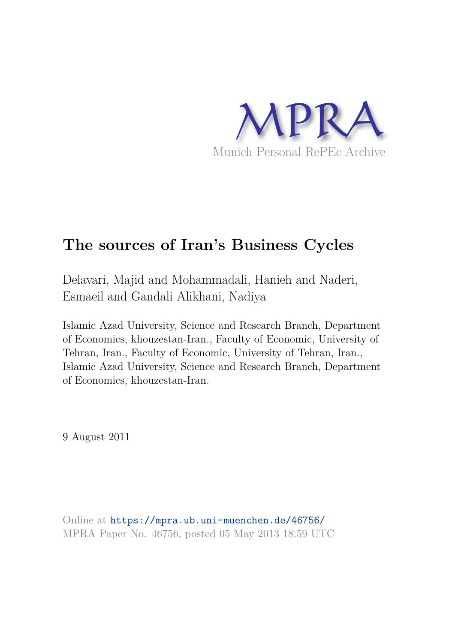

# **The sources of Iran's Business Cycles**

Delavari, Majid and Mohammadali, Hanieh and Naderi, Esmaeil and Gandali Alikhani, Nadiya

Islamic Azad University, Science and Research Branch, Department of Economics, khouzestan-Iran., Faculty of Economic, University of Tehran, Iran., Faculty of Economic, University of Tehran, Iran., Islamic Azad University, Science and Research Branch, Department of Economics, khouzestan-Iran.

9 August 2011

Online at https://mpra.ub.uni-muenchen.de/46756/ MPRA Paper No. 46756, posted 05 May 2013 18:59 UTC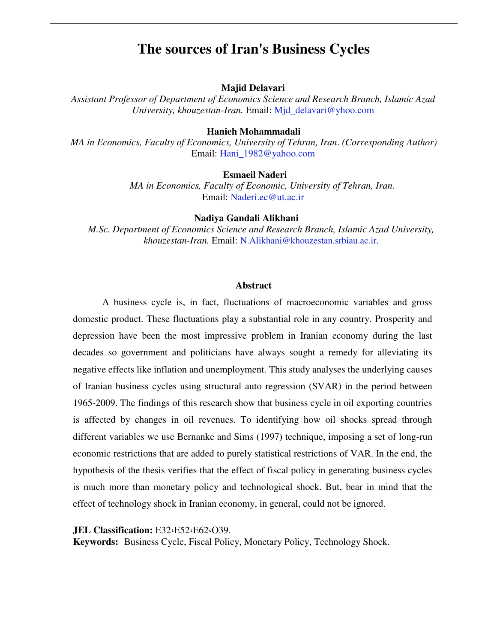## **The sources of Iran's Business Cycles**

#### **Majid Delavari**

*Assistant Professor of Department of Economics Science and Research Branch, Islamic Azad University, khouzestan-Iran.* Email: [Mjd\\_delavari@yhoo.com](mailto:Mjd_delavari@yhoo.com)

### **Hanieh Mohammadali**

*MA in Economics, Faculty of Economics, University of Tehran, Iran*. *(Corresponding Author)*  Email: [Hani\\_1982@yahoo.com](mailto:Hani_1982@yahoo.com)

## **Esmaeil Naderi**

 *MA in Economics, Faculty of Economic, University of Tehran, Iran.* Email: [Naderi.ec@ut.ac.ir](mailto:Naderi.ec@ut.ac.ir)

#### **Nadiya Gandali Alikhani**

*M.Sc. Department of Economics Science and Research Branch, Islamic Azad University, khouzestan-Iran.* Email: [N.Alikhani@khouzestan.srbiau.ac.ir](mailto:N.Alikhani@khouzestan.srbiau.ac.ir).

## **Abstract**

A business cycle is, in fact, fluctuations of macroeconomic variables and gross domestic product. These fluctuations play a substantial role in any country. Prosperity and depression have been the most impressive problem in Iranian economy during the last decades so government and politicians have always sought a remedy for alleviating its negative effects like inflation and unemployment. This study analyses the underlying causes of Iranian business cycles using structural auto regression (SVAR) in the period between 1965-2009. The findings of this research show that business cycle in oil exporting countries is affected by changes in oil revenues. To identifying how oil shocks spread through different variables we use Bernanke and Sims (1997) technique, imposing a set of long-run economic restrictions that are added to purely statistical restrictions of VAR. In the end, the hypothesis of the thesis verifies that the effect of fiscal policy in generating business cycles is much more than monetary policy and technological shock. But, bear in mind that the effect of technology shock in Iranian economy, in general, could not be ignored.

#### **JEL Classification:** E32،E52،E62،O39.

**Keywords:** Business Cycle, Fiscal Policy, Monetary Policy, Technology Shock.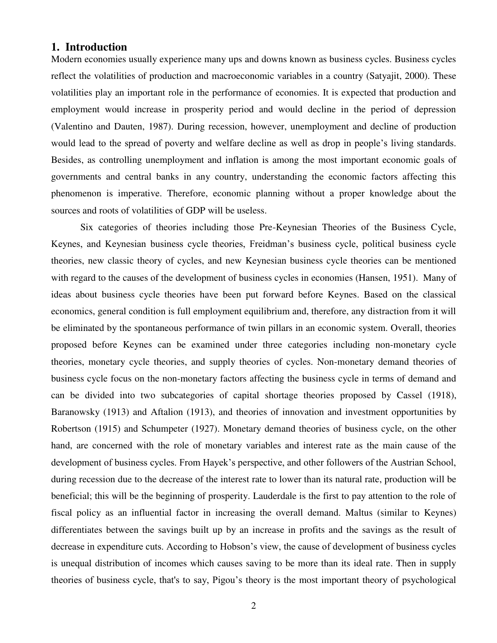## **1. Introduction**

Modern economies usually experience many ups and downs known as business cycles. Business cycles reflect the volatilities of production and macroeconomic variables in a country (Satyajit, 2000). These volatilities play an important role in the performance of economies. It is expected that production and employment would increase in prosperity period and would decline in the period of depression (Valentino and Dauten, 1987). During recession, however, unemployment and decline of production would lead to the spread of poverty and welfare decline as well as drop in people's living standards. Besides, as controlling unemployment and inflation is among the most important economic goals of governments and central banks in any country, understanding the economic factors affecting this phenomenon is imperative. Therefore, economic planning without a proper knowledge about the sources and roots of volatilities of GDP will be useless.

Six categories of theories including those Pre-Keynesian Theories of the Business Cycle, Keynes, and Keynesian business cycle theories, Freidman's business cycle, political business cycle theories, new classic theory of cycles, and new Keynesian business cycle theories can be mentioned with regard to the causes of the development of business cycles in economies (Hansen, 1951). Many of ideas about business cycle theories have been put forward before Keynes. Based on the classical economics, general condition is full employment equilibrium and, therefore, any distraction from it will be eliminated by the spontaneous performance of twin pillars in an economic system. Overall, theories proposed before Keynes can be examined under three categories including non-monetary cycle theories, monetary cycle theories, and supply theories of cycles. Non-monetary demand theories of business cycle focus on the non-monetary factors affecting the business cycle in terms of demand and can be divided into two subcategories of capital shortage theories proposed by Cassel (1918), Baranowsky (1913) and Aftalion (1913), and theories of innovation and investment opportunities by Robertson (1915) and Schumpeter (1927). Monetary demand theories of business cycle, on the other hand, are concerned with the role of monetary variables and interest rate as the main cause of the development of business cycles. From Hayek's perspective, and other followers of the Austrian School, during recession due to the decrease of the interest rate to lower than its natural rate, production will be beneficial; this will be the beginning of prosperity. Lauderdale is the first to pay attention to the role of fiscal policy as an influential factor in increasing the overall demand. Maltus (similar to Keynes) differentiates between the savings built up by an increase in profits and the savings as the result of decrease in expenditure cuts. According to Hobson's view, the cause of development of business cycles is unequal distribution of incomes which causes saving to be more than its ideal rate. Then in supply theories of business cycle, that's to say, Pigou's theory is the most important theory of psychological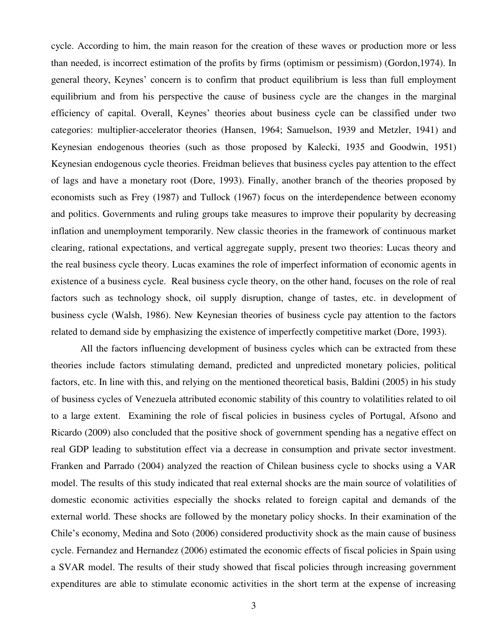cycle. According to him, the main reason for the creation of these waves or production more or less than needed, is incorrect estimation of the profits by firms (optimism or pessimism) (Gordon,1974). In general theory, Keynes' concern is to confirm that product equilibrium is less than full employment equilibrium and from his perspective the cause of business cycle are the changes in the marginal efficiency of capital. Overall, Keynes' theories about business cycle can be classified under two categories: multiplier-accelerator theories (Hansen, 1964; Samuelson, 1939 and Metzler, 1941) and Keynesian endogenous theories (such as those proposed by Kalecki, 1935 and Goodwin, 1951) Keynesian endogenous cycle theories. Freidman believes that business cycles pay attention to the effect of lags and have a monetary root (Dore, 1993). Finally, another branch of the theories proposed by economists such as Frey (1987) and Tullock (1967) focus on the interdependence between economy and politics. Governments and ruling groups take measures to improve their popularity by decreasing inflation and unemployment temporarily. New classic theories in the framework of continuous market clearing, rational expectations, and vertical aggregate supply, present two theories: Lucas theory and the real business cycle theory. Lucas examines the role of imperfect information of economic agents in existence of a business cycle. Real business cycle theory, on the other hand, focuses on the role of real factors such as technology shock, oil supply disruption, change of tastes, etc. in development of business cycle (Walsh, 1986). New Keynesian theories of business cycle pay attention to the factors related to demand side by emphasizing the existence of imperfectly competitive market (Dore, 1993).

All the factors influencing development of business cycles which can be extracted from these theories include factors stimulating demand, predicted and unpredicted monetary policies, political factors, etc. In line with this, and relying on the mentioned theoretical basis, Baldini (2005) in his study of business cycles of Venezuela attributed economic stability of this country to volatilities related to oil to a large extent. Examining the role of fiscal policies in business cycles of Portugal, Afsono and Ricardo (2009) also concluded that the positive shock of government spending has a negative effect on real GDP leading to substitution effect via a decrease in consumption and private sector investment. Franken and Parrado (2004) analyzed the reaction of Chilean business cycle to shocks using a VAR model. The results of this study indicated that real external shocks are the main source of volatilities of domestic economic activities especially the shocks related to foreign capital and demands of the external world. These shocks are followed by the monetary policy shocks. In their examination of the Chile's economy, Medina and Soto (2006) considered productivity shock as the main cause of business cycle. Fernandez and Hernandez (2006) estimated the economic effects of fiscal policies in Spain using a SVAR model. The results of their study showed that fiscal policies through increasing government expenditures are able to stimulate economic activities in the short term at the expense of increasing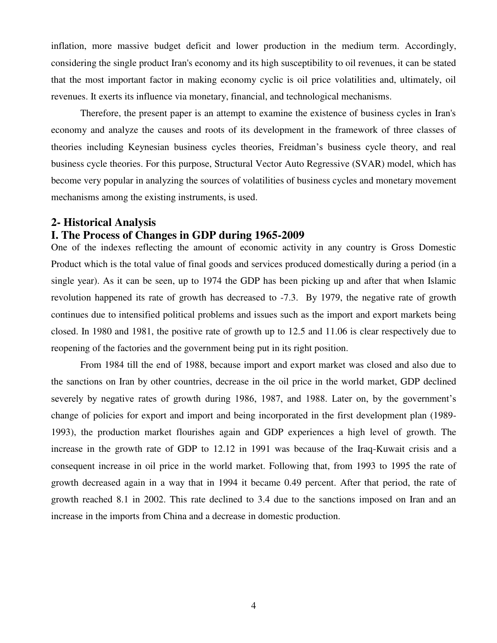inflation, more massive budget deficit and lower production in the medium term. Accordingly, considering the single product Iran's economy and its high susceptibility to oil revenues, it can be stated that the most important factor in making economy cyclic is oil price volatilities and, ultimately, oil revenues. It exerts its influence via monetary, financial, and technological mechanisms.

Therefore, the present paper is an attempt to examine the existence of business cycles in Iran's economy and analyze the causes and roots of its development in the framework of three classes of theories including Keynesian business cycles theories, Freidman's business cycle theory, and real business cycle theories. For this purpose, Structural Vector Auto Regressive (SVAR) model, which has become very popular in analyzing the sources of volatilities of business cycles and monetary movement mechanisms among the existing instruments, is used.

#### **2- Historical Analysis**

## **I. The Process of Changes in GDP during 1965-2009**

One of the indexes reflecting the amount of economic activity in any country is Gross Domestic Product which is the total value of final goods and services produced domestically during a period (in a single year). As it can be seen, up to 1974 the GDP has been picking up and after that when Islamic revolution happened its rate of growth has decreased to -7.3. By 1979, the negative rate of growth continues due to intensified political problems and issues such as the import and export markets being closed. In 1980 and 1981, the positive rate of growth up to 12.5 and 11.06 is clear respectively due to reopening of the factories and the government being put in its right position.

From 1984 till the end of 1988, because import and export market was closed and also due to the sanctions on Iran by other countries, decrease in the oil price in the world market, GDP declined severely by negative rates of growth during 1986, 1987, and 1988. Later on, by the government's change of policies for export and import and being incorporated in the first development plan (1989- 1993), the production market flourishes again and GDP experiences a high level of growth. The increase in the growth rate of GDP to 12.12 in 1991 was because of the Iraq-Kuwait crisis and a consequent increase in oil price in the world market. Following that, from 1993 to 1995 the rate of growth decreased again in a way that in 1994 it became 0.49 percent. After that period, the rate of growth reached 8.1 in 2002. This rate declined to 3.4 due to the sanctions imposed on Iran and an increase in the imports from China and a decrease in domestic production.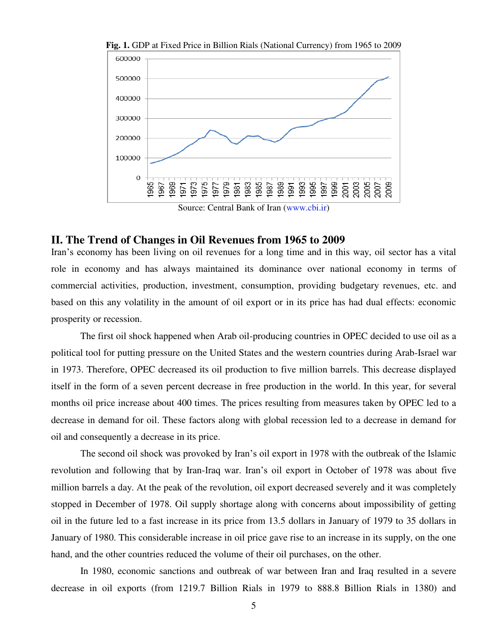

**Fig. 1.** GDP at Fixed Price in Billion Rials (National Currency) from 1965 to 2009

## **II. The Trend of Changes in Oil Revenues from 1965 to 2009**

Iran's economy has been living on oil revenues for a long time and in this way, oil sector has a vital role in economy and has always maintained its dominance over national economy in terms of commercial activities, production, investment, consumption, providing budgetary revenues, etc. and based on this any volatility in the amount of oil export or in its price has had dual effects: economic prosperity or recession.

The first oil shock happened when Arab oil-producing countries in OPEC decided to use oil as a political tool for putting pressure on the United States and the western countries during Arab-Israel war in 1973. Therefore, OPEC decreased its oil production to five million barrels. This decrease displayed itself in the form of a seven percent decrease in free production in the world. In this year, for several months oil price increase about 400 times. The prices resulting from measures taken by OPEC led to a decrease in demand for oil. These factors along with global recession led to a decrease in demand for oil and consequently a decrease in its price.

The second oil shock was provoked by Iran's oil export in 1978 with the outbreak of the Islamic revolution and following that by Iran-Iraq war. Iran's oil export in October of 1978 was about five million barrels a day. At the peak of the revolution, oil export decreased severely and it was completely stopped in December of 1978. Oil supply shortage along with concerns about impossibility of getting oil in the future led to a fast increase in its price from 13.5 dollars in January of 1979 to 35 dollars in January of 1980. This considerable increase in oil price gave rise to an increase in its supply, on the one hand, and the other countries reduced the volume of their oil purchases, on the other.

In 1980, economic sanctions and outbreak of war between Iran and Iraq resulted in a severe decrease in oil exports (from 1219.7 Billion Rials in 1979 to 888.8 Billion Rials in 1380) and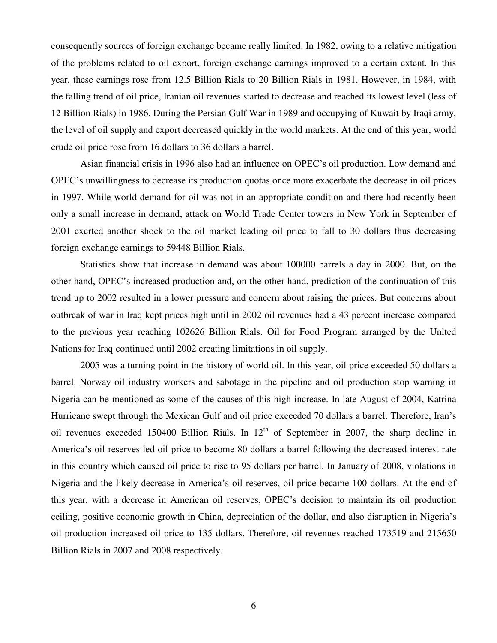consequently sources of foreign exchange became really limited. In 1982, owing to a relative mitigation of the problems related to oil export, foreign exchange earnings improved to a certain extent. In this year, these earnings rose from 12.5 Billion Rials to 20 Billion Rials in 1981. However, in 1984, with the falling trend of oil price, Iranian oil revenues started to decrease and reached its lowest level (less of 12 Billion Rials) in 1986. During the Persian Gulf War in 1989 and occupying of Kuwait by Iraqi army, the level of oil supply and export decreased quickly in the world markets. At the end of this year, world crude oil price rose from 16 dollars to 36 dollars a barrel.

Asian financial crisis in 1996 also had an influence on OPEC's oil production. Low demand and OPEC's unwillingness to decrease its production quotas once more exacerbate the decrease in oil prices in 1997. While world demand for oil was not in an appropriate condition and there had recently been only a small increase in demand, attack on World Trade Center towers in New York in September of 2001 exerted another shock to the oil market leading oil price to fall to 30 dollars thus decreasing foreign exchange earnings to 59448 Billion Rials.

Statistics show that increase in demand was about 100000 barrels a day in 2000. But, on the other hand, OPEC's increased production and, on the other hand, prediction of the continuation of this trend up to 2002 resulted in a lower pressure and concern about raising the prices. But concerns about outbreak of war in Iraq kept prices high until in 2002 oil revenues had a 43 percent increase compared to the previous year reaching 102626 Billion Rials. Oil for Food Program arranged by the United Nations for Iraq continued until 2002 creating limitations in oil supply.

2005 was a turning point in the history of world oil. In this year, oil price exceeded 50 dollars a barrel. Norway oil industry workers and sabotage in the pipeline and oil production stop warning in Nigeria can be mentioned as some of the causes of this high increase. In late August of 2004, Katrina Hurricane swept through the Mexican Gulf and oil price exceeded 70 dollars a barrel. Therefore, Iran's oil revenues exceeded 150400 Billion Rials. In  $12<sup>th</sup>$  of September in 2007, the sharp decline in America's oil reserves led oil price to become 80 dollars a barrel following the decreased interest rate in this country which caused oil price to rise to 95 dollars per barrel. In January of 2008, violations in Nigeria and the likely decrease in America's oil reserves, oil price became 100 dollars. At the end of this year, with a decrease in American oil reserves, OPEC's decision to maintain its oil production ceiling, positive economic growth in China, depreciation of the dollar, and also disruption in Nigeria's oil production increased oil price to 135 dollars. Therefore, oil revenues reached 173519 and 215650 Billion Rials in 2007 and 2008 respectively.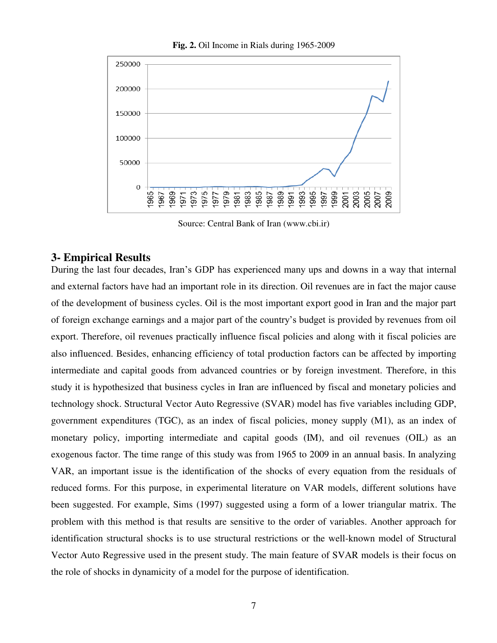

**Fig. 2.** Oil Income in Rials during 1965-2009

Source: Central Bank of Iran (www.cbi.ir)

## **3- Empirical Results**

During the last four decades, Iran's GDP has experienced many ups and downs in a way that internal and external factors have had an important role in its direction. Oil revenues are in fact the major cause of the development of business cycles. Oil is the most important export good in Iran and the major part of foreign exchange earnings and a major part of the country's budget is provided by revenues from oil export. Therefore, oil revenues practically influence fiscal policies and along with it fiscal policies are also influenced. Besides, enhancing efficiency of total production factors can be affected by importing intermediate and capital goods from advanced countries or by foreign investment. Therefore, in this study it is hypothesized that business cycles in Iran are influenced by fiscal and monetary policies and technology shock. Structural Vector Auto Regressive (SVAR) model has five variables including GDP, government expenditures (TGC), as an index of fiscal policies, money supply (M1), as an index of monetary policy, importing intermediate and capital goods (IM), and oil revenues (OIL) as an exogenous factor. The time range of this study was from 1965 to 2009 in an annual basis. In analyzing VAR, an important issue is the identification of the shocks of every equation from the residuals of reduced forms. For this purpose, in experimental literature on VAR models, different solutions have been suggested. For example, Sims (1997) suggested using a form of a lower triangular matrix. The problem with this method is that results are sensitive to the order of variables. Another approach for identification structural shocks is to use structural restrictions or the well-known model of Structural Vector Auto Regressive used in the present study. The main feature of SVAR models is their focus on the role of shocks in dynamicity of a model for the purpose of identification.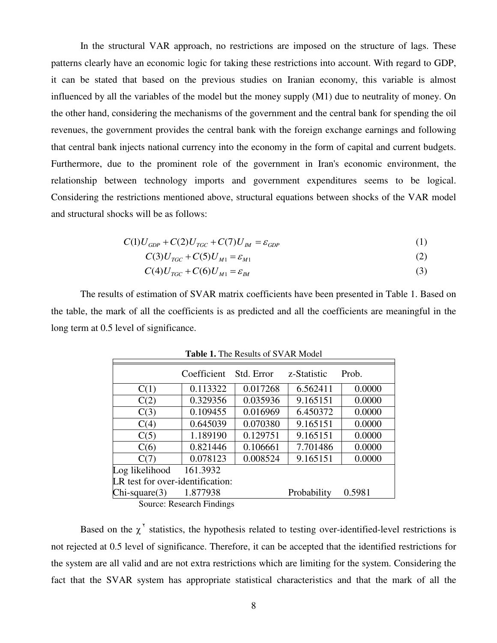In the structural VAR approach, no restrictions are imposed on the structure of lags. These patterns clearly have an economic logic for taking these restrictions into account. With regard to GDP, it can be stated that based on the previous studies on Iranian economy, this variable is almost influenced by all the variables of the model but the money supply (M1) due to neutrality of money. On the other hand, considering the mechanisms of the government and the central bank for spending the oil revenues, the government provides the central bank with the foreign exchange earnings and following that central bank injects national currency into the economy in the form of capital and current budgets. Furthermore, due to the prominent role of the government in Iran's economic environment, the relationship between technology imports and government expenditures seems to be logical. Considering the restrictions mentioned above, structural equations between shocks of the VAR model and structural shocks will be as follows:

$$
C(1)U_{GDP} + C(2)U_{TGC} + C(7)U_M = \varepsilon_{GDP}
$$
\n<sup>(1)</sup>

$$
C(3)U_{TGC} + C(5)U_{M1} = \varepsilon_{M1}
$$
 (2)

$$
C(4)U_{TGC} + C(6)U_{M1} = \varepsilon_M
$$
\n<sup>(3)</sup>

The results of estimation of SVAR matrix coefficients have been presented in Table 1. Based on the table, the mark of all the coefficients is as predicted and all the coefficients are meaningful in the long term at 0.5 level of significance.

|                                  | Coefficient | Std. Error | z-Statistic | Prob.  |  |  |
|----------------------------------|-------------|------------|-------------|--------|--|--|
| C(1)                             | 0.113322    | 0.017268   | 6.562411    | 0.0000 |  |  |
| C(2)                             | 0.329356    | 0.035936   | 9.165151    | 0.0000 |  |  |
| C(3)                             | 0.109455    | 0.016969   | 6.450372    | 0.0000 |  |  |
| C(4)                             | 0.645039    | 0.070380   | 9.165151    | 0.0000 |  |  |
| C(5)                             | 1.189190    | 0.129751   | 9.165151    | 0.0000 |  |  |
| C(6)                             | 0.821446    | 0.106661   | 7.701486    | 0.0000 |  |  |
| C(7)                             | 0.078123    | 0.008524   | 9.165151    | 0.0000 |  |  |
| Log likelihood                   | 161.3932    |            |             |        |  |  |
| LR test for over-identification: |             |            |             |        |  |  |
| $Chi-square(3)$                  | 1.877938    |            | Probability | 0.5981 |  |  |

**Table 1.** The Results of SVAR Model

Source: Research Findings

Based on the  $\chi^{\prime}$  statistics, the hypothesis related to testing over-identified-level restrictions is not rejected at 0.5 level of significance. Therefore, it can be accepted that the identified restrictions for the system are all valid and are not extra restrictions which are limiting for the system. Considering the fact that the SVAR system has appropriate statistical characteristics and that the mark of all the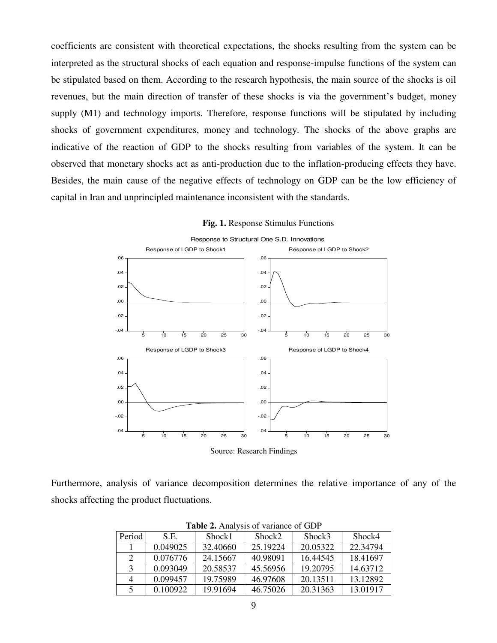coefficients are consistent with theoretical expectations, the shocks resulting from the system can be interpreted as the structural shocks of each equation and response-impulse functions of the system can be stipulated based on them. According to the research hypothesis, the main source of the shocks is oil revenues, but the main direction of transfer of these shocks is via the government's budget, money supply (M1) and technology imports. Therefore, response functions will be stipulated by including shocks of government expenditures, money and technology. The shocks of the above graphs are indicative of the reaction of GDP to the shocks resulting from variables of the system. It can be observed that monetary shocks act as anti-production due to the inflation-producing effects they have. Besides, the main cause of the negative effects of technology on GDP can be the low efficiency of capital in Iran and unprincipled maintenance inconsistent with the standards.



**Fig. 1.** Response Stimulus Functions

Furthermore, analysis of variance decomposition determines the relative importance of any of the shocks affecting the product fluctuations.

| <b>Table 2.</b> Allalysis of valiance of ODF |          |          |          |          |          |  |  |  |
|----------------------------------------------|----------|----------|----------|----------|----------|--|--|--|
| Period                                       | S.E.     | Shock1   | Shock2   | Shock3   | Shock4   |  |  |  |
|                                              | 0.049025 | 32.40660 | 25.19224 | 20.05322 | 22.34794 |  |  |  |
| 2                                            | 0.076776 | 24.15667 | 40.98091 | 16.44545 | 18.41697 |  |  |  |
| $\mathbf{R}$                                 | 0.093049 | 20.58537 | 45.56956 | 19.20795 | 14.63712 |  |  |  |
| 4                                            | 0.099457 | 19.75989 | 46.97608 | 20.13511 | 13.12892 |  |  |  |
| 5                                            | 0.100922 | 19.91694 | 46.75026 | 20.31363 | 13.01917 |  |  |  |

**Table 2.** Analysis of variance of GDP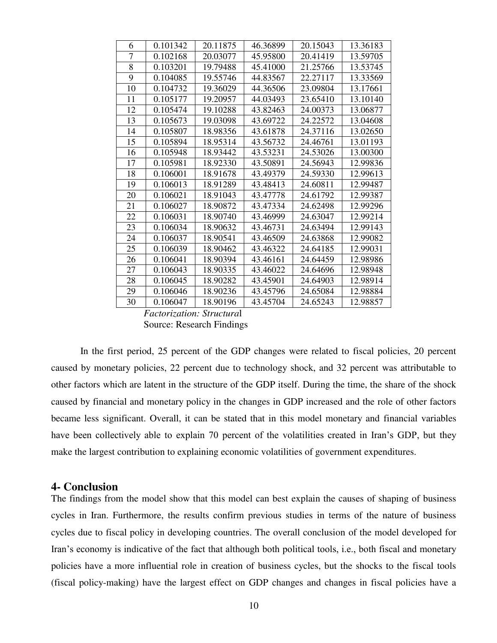| 6                         | 0.101342 | 20.11875 | 46.36899 | 20.15043 | 13.36183 |  |  |
|---------------------------|----------|----------|----------|----------|----------|--|--|
| 7                         | 0.102168 | 20.03077 | 45.95800 | 20.41419 | 13.59705 |  |  |
| 8                         | 0.103201 | 19.79488 | 45.41000 | 21.25766 | 13.53745 |  |  |
| 9                         | 0.104085 | 19.55746 | 44.83567 | 22.27117 | 13.33569 |  |  |
| 10                        | 0.104732 | 19.36029 | 44.36506 | 23.09804 | 13.17661 |  |  |
| 11                        | 0.105177 | 19.20957 | 44.03493 | 23.65410 | 13.10140 |  |  |
| 12                        | 0.105474 | 19.10288 | 43.82463 | 24.00373 | 13.06877 |  |  |
| 13                        | 0.105673 | 19.03098 | 43.69722 | 24.22572 | 13.04608 |  |  |
| 14                        | 0.105807 | 18.98356 | 43.61878 | 24.37116 | 13.02650 |  |  |
| 15                        | 0.105894 | 18.95314 | 43.56732 | 24.46761 | 13.01193 |  |  |
| 16                        | 0.105948 | 18.93442 | 43.53231 | 24.53026 | 13.00300 |  |  |
| 17                        | 0.105981 | 18.92330 | 43.50891 | 24.56943 | 12.99836 |  |  |
| 18                        | 0.106001 | 18.91678 | 43.49379 | 24.59330 | 12.99613 |  |  |
| 19                        | 0.106013 | 18.91289 | 43.48413 | 24.60811 | 12.99487 |  |  |
| 20                        | 0.106021 | 18.91043 | 43.47778 | 24.61792 | 12.99387 |  |  |
| 21                        | 0.106027 | 18.90872 | 43.47334 | 24.62498 | 12.99296 |  |  |
| 22                        | 0.106031 | 18.90740 | 43.46999 | 24.63047 | 12.99214 |  |  |
| 23                        | 0.106034 | 18.90632 | 43.46731 | 24.63494 | 12.99143 |  |  |
| 24                        | 0.106037 | 18.90541 | 43.46509 | 24.63868 | 12.99082 |  |  |
| 25                        | 0.106039 | 18.90462 | 43.46322 | 24.64185 | 12.99031 |  |  |
| 26                        | 0.106041 | 18.90394 | 43.46161 | 24.64459 | 12.98986 |  |  |
| 27                        | 0.106043 | 18.90335 | 43.46022 | 24.64696 | 12.98948 |  |  |
| 28                        | 0.106045 | 18.90282 | 43.45901 | 24.64903 | 12.98914 |  |  |
| 29                        | 0.106046 | 18.90236 | 43.45796 | 24.65084 | 12.98884 |  |  |
| 30                        | 0.106047 | 18.90196 | 43.45704 | 24.65243 | 12.98857 |  |  |
| Factorization: Structural |          |          |          |          |          |  |  |

Source: Research Findings

In the first period, 25 percent of the GDP changes were related to fiscal policies, 20 percent caused by monetary policies, 22 percent due to technology shock, and 32 percent was attributable to other factors which are latent in the structure of the GDP itself. During the time, the share of the shock caused by financial and monetary policy in the changes in GDP increased and the role of other factors became less significant. Overall, it can be stated that in this model monetary and financial variables have been collectively able to explain 70 percent of the volatilities created in Iran's GDP, but they make the largest contribution to explaining economic volatilities of government expenditures.

## **4- Conclusion**

The findings from the model show that this model can best explain the causes of shaping of business cycles in Iran. Furthermore, the results confirm previous studies in terms of the nature of business cycles due to fiscal policy in developing countries. The overall conclusion of the model developed for Iran's economy is indicative of the fact that although both political tools, i.e., both fiscal and monetary policies have a more influential role in creation of business cycles, but the shocks to the fiscal tools (fiscal policy-making) have the largest effect on GDP changes and changes in fiscal policies have a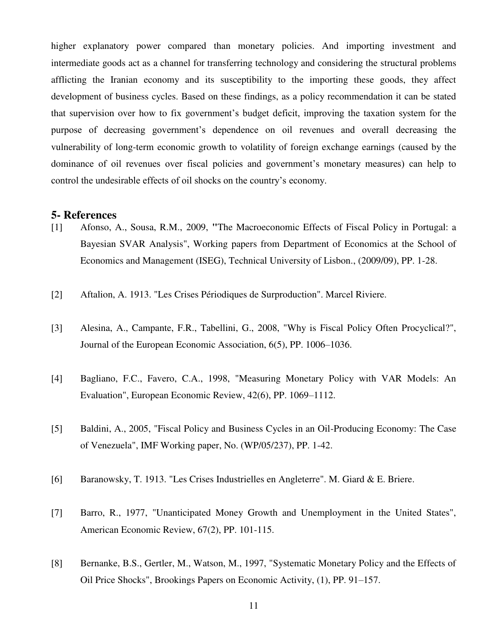higher explanatory power compared than monetary policies. And importing investment and intermediate goods act as a channel for transferring technology and considering the structural problems afflicting the Iranian economy and its susceptibility to the importing these goods, they affect development of business cycles. Based on these findings, as a policy recommendation it can be stated that supervision over how to fix government's budget deficit, improving the taxation system for the purpose of decreasing government's dependence on oil revenues and overall decreasing the vulnerability of long-term economic growth to volatility of foreign exchange earnings (caused by the dominance of oil revenues over fiscal policies and government's monetary measures) can help to control the undesirable effects of oil shocks on the country's economy.

## **5- References**

- [1] Afonso, A., Sousa, R.M., 2009, **"**The Macroeconomic Effects of Fiscal Policy in Portugal: a Bayesian SVAR Analysis", Working pape[rs](http://econpapers.repec.org/paper/iseisegwp/) from [Department of Economics at the School of](https://aquila.iseg.utl.pt/aquila/departamentos/EC)  [Economics and Management \(ISEG\), Technical University of Lisbon.,](https://aquila.iseg.utl.pt/aquila/departamentos/EC) (2009/09), PP. 1-28.
- [2] Aftalion, A. 1913. "Les Crises Périodiques de Surproduction". Marcel Riviere.
- [3] Alesina, A., Campante, F.R., Tabellini, G., 2008, "Why is Fiscal Policy Often Procyclical?", Journal of the European Economic Association, 6(5), PP. 1006–1036.
- [4] Bagliano, F.C., Favero, C.A., 1998, "Measuring Monetary Policy with VAR Models: An Evaluation", European Economic Review, 42(6), PP. 1069–1112.
- [5] Baldini, A., 2005, "Fiscal Policy and Business Cycles in an Oil-Producing Economy: The Case of Venezuela", IMF Working paper, No. (WP/05/237), PP. 1-42.
- [6] Baranowsky, T. 1913. "Les Crises Industrielles en Angleterre". M. Giard & E. Briere.
- [7] Barro, R., 1977, "Unanticipated Money Growth and Unemployment in the United States", American Economic Review, 67(2), PP. 101-115.
- [8] Bernanke, B.S., Gertler, M., Watson, M., 1997, "Systematic Monetary Policy and the Effects of Oil Price Shocks", Brookings Papers on Economic Activity, (1), PP. 91–157.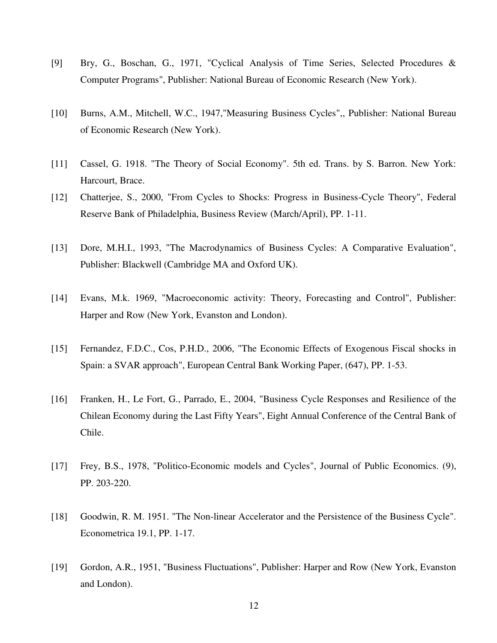- [9] Bry, G., Boschan, G., 1971, "Cyclical Analysis of Time Series, Selected Procedures & Computer Programs", Publisher: National Bureau of Economic Research (New York).
- [10] Burns, A.M., Mitchell, W.C., 1947,"Measuring Business Cycles",, Publisher: National Bureau of Economic Research (New York).
- [11] Cassel, G. 1918. "The Theory of Social Economy". 5th ed. Trans. by S. Barron. New York: Harcourt, Brace.
- [12] Chatterjee, S., 2000, "From Cycles to Shocks: Progress in Business-Cycle Theory", Federal Reserve Bank of Philadelphia, Business Review (March/April), PP. 1-11.
- [13] Dore, M.H.I., 1993, "The Macrodynamics of Business Cycles: A Comparative Evaluation", Publisher: Blackwell (Cambridge MA and Oxford UK).
- [14] Evans, M.k. 1969, "Macroeconomic activity: Theory, Forecasting and Control", Publisher: Harper and Row (New York, Evanston and London).
- [15] Fernandez, F.D.C., Cos, P.H.D., 2006, "The Economic Effects of Exogenous Fiscal shocks in Spain: a SVAR approach", European Central Bank Working Paper, (647), PP. 1-53.
- [16] Franken, H., Le Fort, G., Parrado, E., 2004, "Business Cycle Responses and Resilience of the Chilean Economy during the Last Fifty Years", Eight Annual Conference of the Central Bank of Chile.
- [17] Frey, B.S., 1978, "Politico-Economic models and Cycles", Journal of Public Economics. (9), PP. 203-220.
- [18] Goodwin, R. M. 1951. "The Non-linear Accelerator and the Persistence of the Business Cycle". Econometrica 19.1, PP. 1-17.
- [19] Gordon, A.R., 1951, "Business Fluctuations", Publisher: Harper and Row (New York, Evanston and London).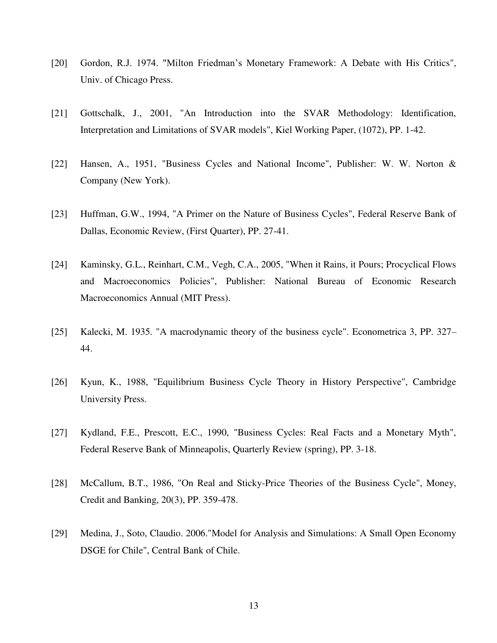- [20] Gordon, R.J. 1974. "Milton Friedman's Monetary Framework: A Debate with His Critics", Univ. of Chicago Press.
- [21] Gottschalk, J., 2001, "An Introduction into the SVAR Methodology: Identification, Interpretation and Limitations of SVAR models", Kiel Working Paper, (1072), PP. 1-42.
- [22] Hansen, A., 1951, "Business Cycles and National Income", Publisher: W. W. Norton & Company (New York).
- [23] Huffman, G.W., 1994, "A Primer on the Nature of Business Cycles", Federal Reserve Bank of Dallas, Economic Review, (First Quarter), PP. 27-41.
- [24] Kaminsky, G.L., Reinhart, C.M., Vegh, C.A., 2005, "When it Rains, it Pours; Procyclical Flows and Macroeconomics Policies", Publisher: National Bureau of Economic Research Macroeconomics Annual (MIT Press).
- [25] Kalecki, M. 1935. "A macrodynamic theory of the business cycle". Econometrica 3, PP. 327– 44.
- [26] Kyun, K., 1988, "Equilibrium Business Cycle Theory in History Perspective", Cambridge University Press.
- [27] Kydland, F.E., Prescott, E.C., 1990, "Business Cycles: Real Facts and a Monetary Myth", Federal Reserve Bank of Minneapolis, Quarterly Review (spring), PP. 3-18.
- [28] McCallum, B.T., 1986, "On Real and Sticky-Price Theories of the Business Cycle", Money, Credit and Banking, 20(3), PP. 359-478.
- [29] Medina, J., Soto, Claudio. 2006."Model for Analysis and Simulations: A Small Open Economy DSGE for Chile", Central Bank of Chile.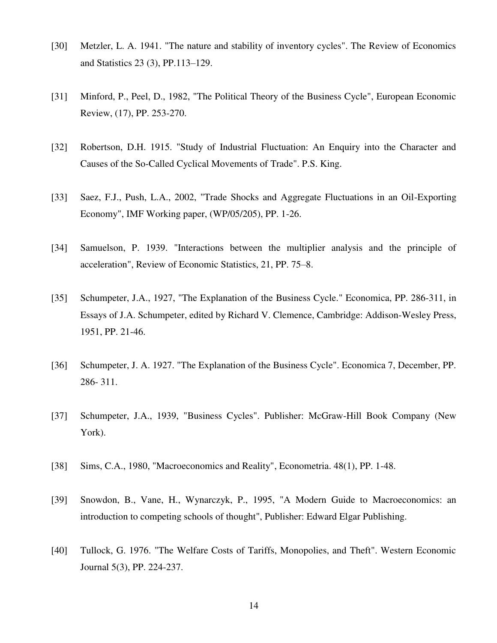- [30] Metzler, L. A. 1941. "The nature and stability of inventory cycles". The Review of Economics and Statistics 23 (3), PP.113–129.
- [31] Minford, P., Peel, D., 1982, "The Political Theory of the Business Cycle", European Economic Review, (17), PP. 253-270.
- [32] Robertson, D.H. 1915. "Study of Industrial Fluctuation: An Enquiry into the Character and Causes of the So-Called Cyclical Movements of Trade". P.S. King.
- [33] Saez, F.J., Push, L.A., 2002, "Trade Shocks and Aggregate Fluctuations in an Oil-Exporting Economy", IMF Working paper, (WP/05/205), PP. 1-26.
- [34] Samuelson, P. 1939. "Interactions between the multiplier analysis and the principle of acceleration", Review of Economic Statistics, 21, PP. 75–8.
- [35] Schumpeter, J.A., 1927, "The Explanation of the Business Cycle." Economica, PP. 286-311, in Essays of J.A. Schumpeter, edited by Richard V. Clemence, Cambridge: Addison-Wesley Press, 1951, PP. 21-46.
- [36] Schumpeter, J. A. 1927. "The Explanation of the Business Cycle". Economica 7, December, PP. 286- 311.
- [37] Schumpeter, J.A., 1939, "Business Cycles". Publisher: McGraw-Hill Book Company (New York).
- [38] Sims, C.A., 1980, "Macroeconomics and Reality", Econometria. 48(1), PP. 1-48.
- [39] Snowdon, B., Vane, H., Wynarczyk, P., 1995, "A Modern Guide to Macroeconomics: an introduction to competing schools of thought", Publisher: Edward Elgar Publishing.
- [40] Tullock, G. 1976. "The Welfare Costs of Tariffs, Monopolies, and Theft". Western Economic Journal 5(3), PP. 224-237.